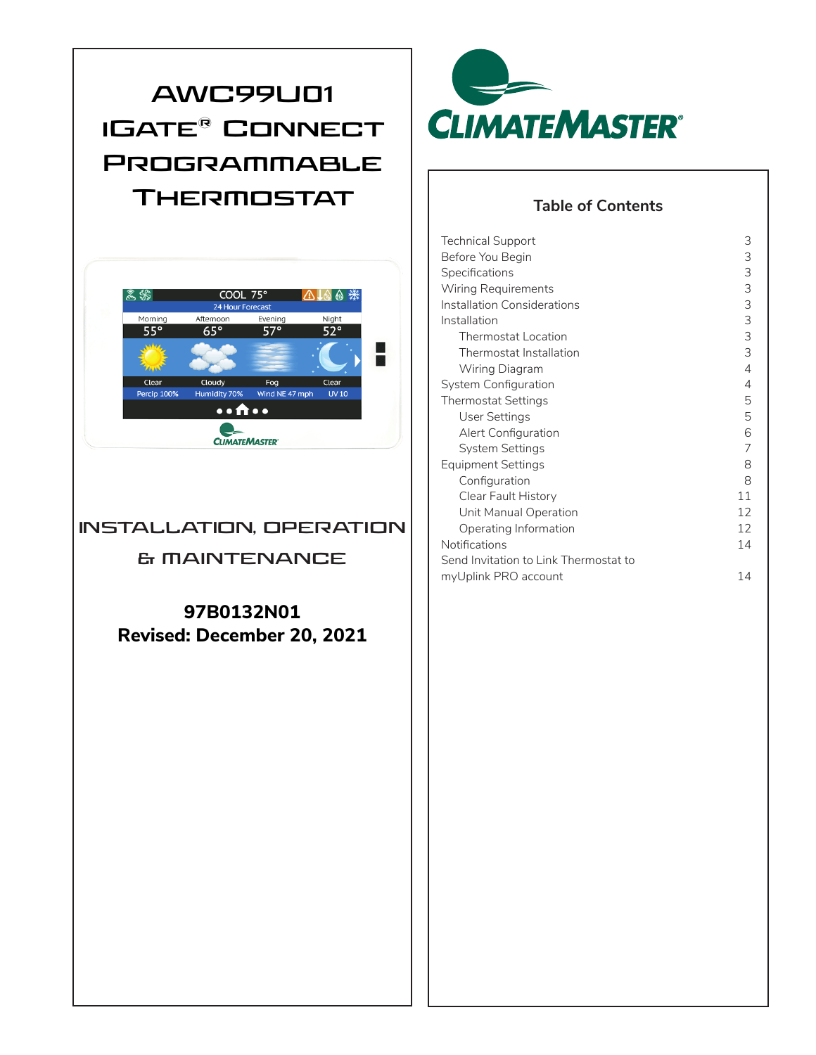# **AWC99U01 iGate® Connect Programmable Thermostat**



### **INSTALLATION, OPERATION**

### **& MAINTENANCE**

**97B0132N01 Revised: December 20, 2021**



### **Table of Contents**

| Technical Support                     | 3  |
|---------------------------------------|----|
| Before You Begin                      | 3  |
| Specifications                        | 3  |
| <b>Wiring Requirements</b>            | 3  |
| Installation Considerations           | 3  |
| Installation                          | 3  |
| Thermostat Location                   | 3  |
| Thermostat Installation               | 3  |
| Wiring Diagram                        | 4  |
| System Configuration                  | 4  |
| <b>Thermostat Settings</b>            | 5  |
| User Settings                         | 5  |
| Alert Configuration                   | 6  |
| System Settings                       | 7  |
| Equipment Settings                    | 8  |
| Configuration                         | 8  |
| Clear Fault History                   | 11 |
| Unit Manual Operation                 | 12 |
| Operating Information                 | 12 |
| Notifications                         | 14 |
| Send Invitation to Link Thermostat to |    |
| myUplink PRO account                  | 14 |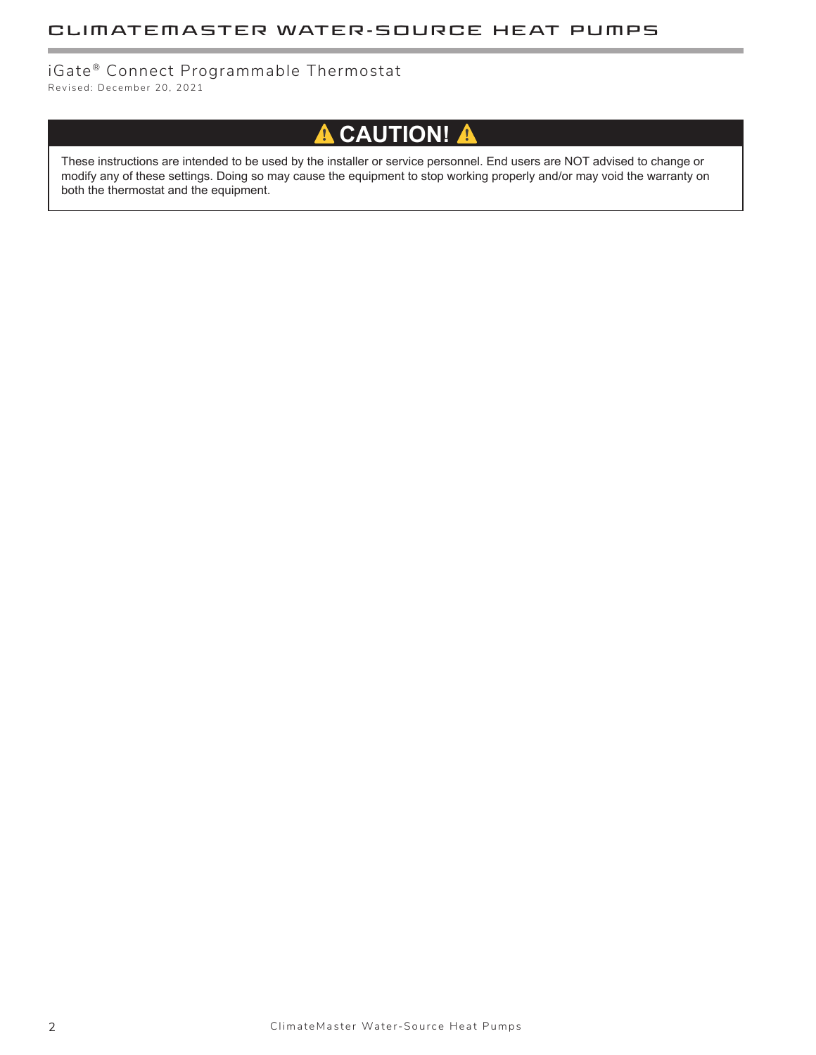### iGate ® Connect Programmable Thermostat

Revised: December 20, 2021

# **A** CAUTION! A

These instructions are intended to be used by the installer or service personnel. End users are NOT advised to change or modify any of these settings. Doing so may cause the equipment to stop working properly and/or may void the warranty on both the thermostat and the equipment.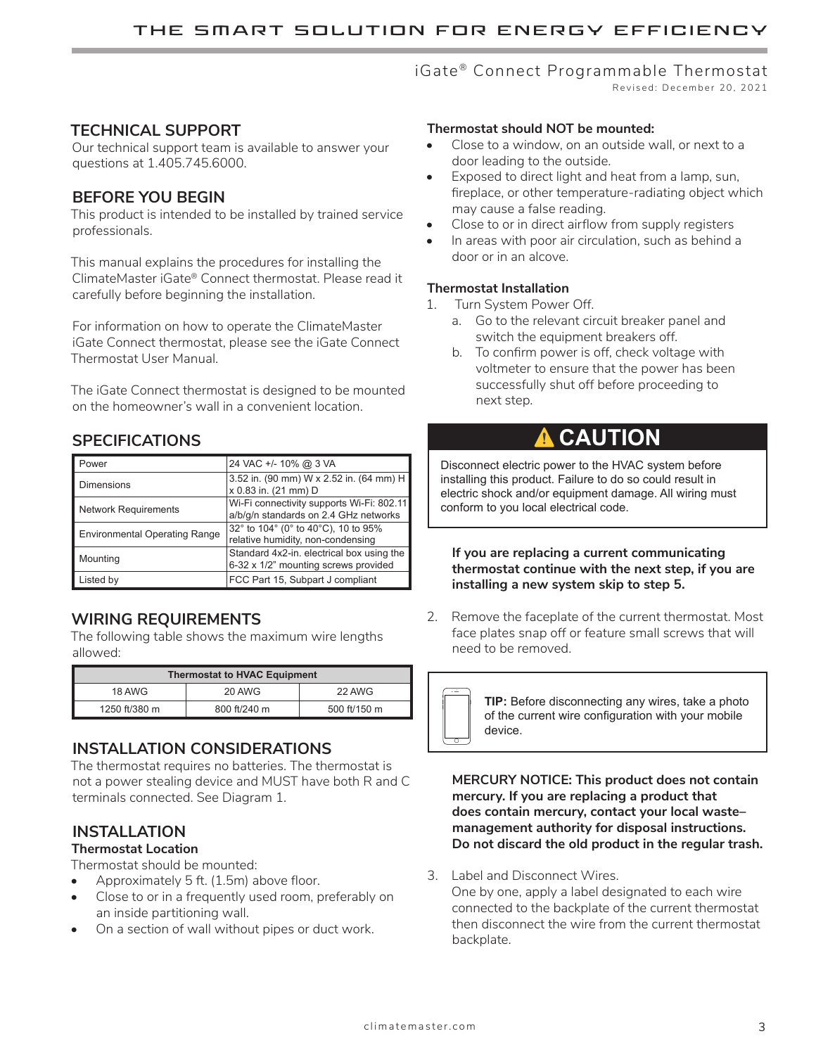# iGate<sup>®</sup> Connect Programmable Thermostat

Revised: December 20, 2021

### **TECHNICAL SUPPORT**

Our technical support team is available to answer your questions at 1.405.745.6000.

### **BEFORE YOU BEGIN**

This product is intended to be installed by trained service professionals.

This manual explains the procedures for installing the ClimateMaster iGate® Connect thermostat. Please read it carefully before beginning the installation.

For information on how to operate the ClimateMaster iGate Connect thermostat, please see the iGate Connect Thermostat User Manual.

The iGate Connect thermostat is designed to be mounted on the homeowner's wall in a convenient location.

### **SPECIFICATIONS**

| Power                                | 24 VAC +/- 10% @ 3 VA                                                              |
|--------------------------------------|------------------------------------------------------------------------------------|
| <b>Dimensions</b>                    | 3.52 in. (90 mm) W x 2.52 in. (64 mm) H<br>x 0.83 in. (21 mm) D                    |
| <b>Network Requirements</b>          | Wi-Fi connectivity supports Wi-Fi: 802.11<br>a/b/g/n standards on 2.4 GHz networks |
| <b>Environmental Operating Range</b> | 32° to 104° (0° to 40°C), 10 to 95%<br>relative humidity, non-condensing           |
| Mounting                             | Standard 4x2-in. electrical box using the<br>6-32 x 1/2" mounting screws provided  |
| Listed by                            | FCC Part 15, Subpart J compliant                                                   |

### **WIRING REQUIREMENTS**

The following table shows the maximum wire lengths allowed:

| <b>Thermostat to HVAC Equipment</b> |              |              |
|-------------------------------------|--------------|--------------|
| 18 AWG                              | 20 AWG       | 22 AWG       |
| 1250 ft/380 m                       | 800 ft/240 m | 500 ft/150 m |

### **INSTALLATION CONSIDERATIONS**

The thermostat requires no batteries. The thermostat is not a power stealing device and MUST have both R and C terminals connected. See Diagram 1.

### **INSTALLATION**

### **Thermostat Location**

Thermostat should be mounted:

- Approximately 5 ft. (1.5m) above floor.
- Close to or in a frequently used room, preferably on an inside partitioning wall.
- On a section of wall without pipes or duct work.

### **Thermostat should NOT be mounted:**

- Close to a window, on an outside wall, or next to a door leading to the outside.
- • Exposed to direct light and heat from a lamp, sun, fireplace, or other temperature-radiating object which may cause a false reading.
- Close to or in direct airflow from supply registers
- In areas with poor air circulation, such as behind a door or in an alcove.

### **Thermostat Installation**

- 1. Turn System Power Off.
	- a. Go to the relevant circuit breaker panel and switch the equipment breakers off.
	- b. To confirm power is off, check voltage with voltmeter to ensure that the power has been successfully shut off before proceeding to next step.

# ⚠ **CAUTION**

Disconnect electric power to the HVAC system before installing this product. Failure to do so could result in electric shock and/or equipment damage. All wiring must conform to you local electrical code.

**If you are replacing a current communicating thermostat continue with the next step, if you are installing a new system skip to step 5.**

2. Remove the faceplate of the current thermostat. Most face plates snap off or feature small screws that will need to be removed.



**TIP:** Before disconnecting any wires, take a photo of the current wire configuration with your mobile

**MERCURY NOTICE: This product does not contain mercury. If you are replacing a product that does contain mercury, contact your local waste– management authority for disposal instructions. Do not discard the old product in the regular trash.**

3. Label and Disconnect Wires.

One by one, apply a label designated to each wire connected to the backplate of the current thermostat then disconnect the wire from the current thermostat backplate.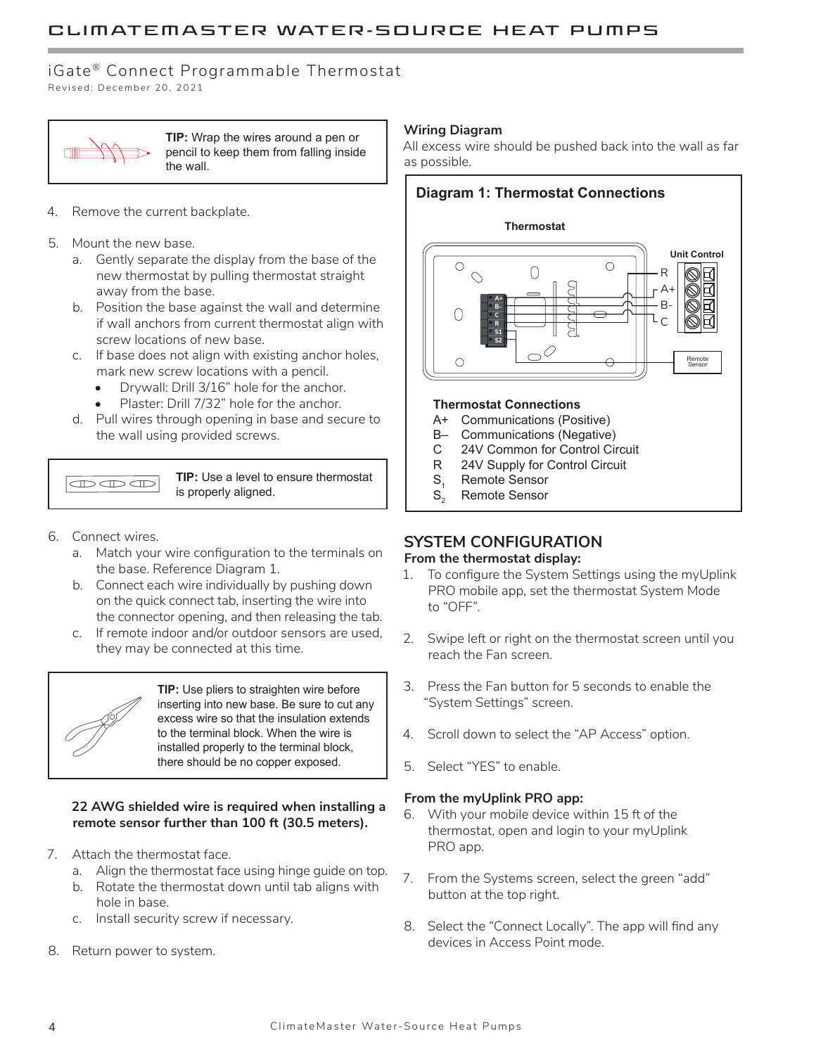### iGate<sup>®</sup> Connect Programmable Thermostat

Revised: December 20, 2021



**TIP:** Wrap the wires around a pen or pencil to keep them from falling inside the wall.

- 4. Remove the current backplate.
- 5. Mount the new base.
	- a. Gently separate the display from the base of the new thermostat by pulling thermostat straight away from the base.
	- b. Position the base against the wall and determine if wall anchors from current thermostat align with screw locations of new base.
	- c. If base does not align with existing anchor holes, mark new screw locations with a pencil.
		- Drywall: Drill 3/16" hole for the anchor.
		- Plaster: Drill 7/32" hole for the anchor.
	- d. Pull wires through opening in base and secure to the wall using provided screws.

 $\overline{\mathbb{CD}}$ 

**TIP:** Use a level to ensure thermostat is properly aligned.

- 6. Connect wires.
	- a. Match your wire configuration to the terminals on the base. Reference Diagram 1.
	- b. Connect each wire individually by pushing down on the quick connect tab, inserting the wire into the connector opening, and then releasing the tab.
	- c. If remote indoor and/or outdoor sensors are used, they may be connected at this time.



**TIP:** Use pliers to straighten wire before inserting into new base. Be sure to cut any excess wire so that the insulation extends to the terminal block. When the wire is installed properly to the terminal block, there should be no copper exposed.

#### **22 AWG shielded wire is required when installing a remote sensor further than 100 ft (30.5 meters).**

- 7. Attach the thermostat face.
	- a. Align the thermostat face using hinge guide on top.
	- b. Rotate the thermostat down until tab aligns with hole in base.
	- c. Install security screw if necessary.
- 8. Return power to system.

#### **Wiring Diagram**

All excess wire should be pushed back into the wall as far as possible.

### **Diagram 1: Thermostat Connections**





#### **Thermostat Connections**

- A+ Communications (Positive)
- B– Communications (Negative)
- C 24V Common for Control Circuit
- R 24V Supply for Control Circuit
- $S_1$  Remote Sensor<br>S. Remote Sensor
- Remote Sensor

### **SYSTEM CONFIGURATION**

#### **From the thermostat display:**

- 1. To configure the System Settings using the myUplink PRO mobile app, set the thermostat System Mode to "OFF".
- 2. Swipe left or right on the thermostat screen until you reach the Fan screen.
- 3. Press the Fan button for 5 seconds to enable the "System Settings" screen.
- 4. Scroll down to select the "AP Access" option.
- 5. Select "YES" to enable.

#### **From the myUplink PRO app:**

- 6. With your mobile device within 15 ft of the thermostat, open and login to your myUplink PRO app.
- 7. From the Systems screen, select the green "add" button at the top right.
- 8. Select the "Connect Locally". The app will find any devices in Access Point mode.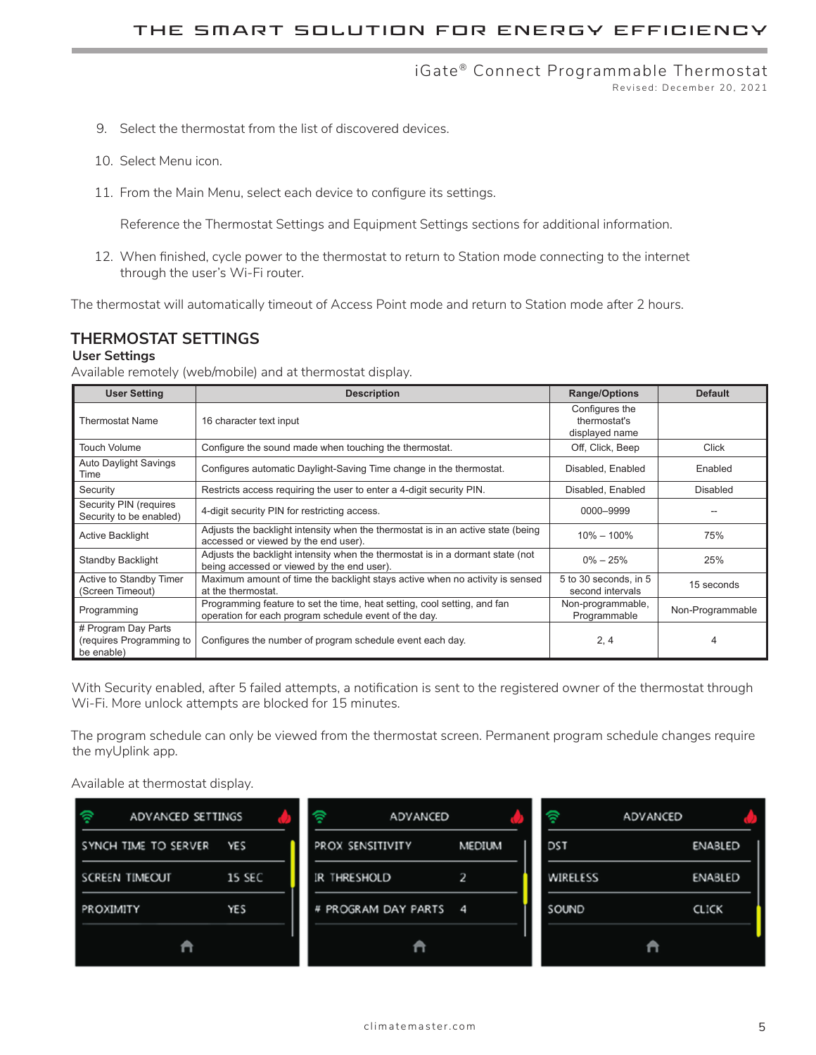#### iGate® Connect Programmable Thermostat Revised: December 20, 2021

- 9. Select the thermostat from the list of discovered devices.
- 10. Select Menu icon.
- 11. From the Main Menu, select each device to configure its settings.

Reference the Thermostat Settings and Equipment Settings sections for additional information.

12. When finished, cycle power to the thermostat to return to Station mode connecting to the internet through the user's Wi-Fi router.

The thermostat will automatically timeout of Access Point mode and return to Station mode after 2 hours.

### **THERMOSTAT SETTINGS**

#### **User Settings**

Available remotely (web/mobile) and at thermostat display.

| <b>User Setting</b>                                           | <b>Description</b>                                                                                                                | <b>Range/Options</b>                             | <b>Default</b>   |
|---------------------------------------------------------------|-----------------------------------------------------------------------------------------------------------------------------------|--------------------------------------------------|------------------|
| <b>Thermostat Name</b>                                        | 16 character text input                                                                                                           | Configures the<br>thermostat's<br>displayed name |                  |
| <b>Touch Volume</b>                                           | Configure the sound made when touching the thermostat.                                                                            | Off, Click, Beep                                 | Click            |
| <b>Auto Daylight Savings</b><br>Time                          | Configures automatic Daylight-Saving Time change in the thermostat.                                                               | Disabled, Enabled                                | Enabled          |
| Security                                                      | Restricts access requiring the user to enter a 4-digit security PIN.                                                              | Disabled, Enabled                                | <b>Disabled</b>  |
| Security PIN (requires<br>Security to be enabled)             | 4-digit security PIN for restricting access.                                                                                      | 0000-9999                                        |                  |
| <b>Active Backlight</b>                                       | Adjusts the backlight intensity when the thermostat is in an active state (being<br>accessed or viewed by the end user).          | $10\% - 100\%$                                   | 75%              |
| Standby Backlight                                             | Adjusts the backlight intensity when the thermostat is in a dormant state (not<br>being accessed or viewed by the end user).      | $0\% - 25\%$                                     | 25%              |
| Active to Standby Timer<br>(Screen Timeout)                   | Maximum amount of time the backlight stays active when no activity is sensed<br>at the thermostat.                                | 5 to 30 seconds, in 5<br>second intervals        | 15 seconds       |
| Programming                                                   | Programming feature to set the time, heat setting, cool setting, and fan<br>operation for each program schedule event of the day. | Non-programmable,<br>Programmable                | Non-Programmable |
| # Program Day Parts<br>(requires Programming to<br>be enable) | Configures the number of program schedule event each day.                                                                         | 2, 4                                             |                  |

With Security enabled, after 5 failed attempts, a notification is sent to the registered owner of the thermostat through Wi-Fi. More unlock attempts are blocked for 15 minutes.

The program schedule can only be viewed from the thermostat screen. Permanent program schedule changes require the myUplink app.

Available at thermostat display.

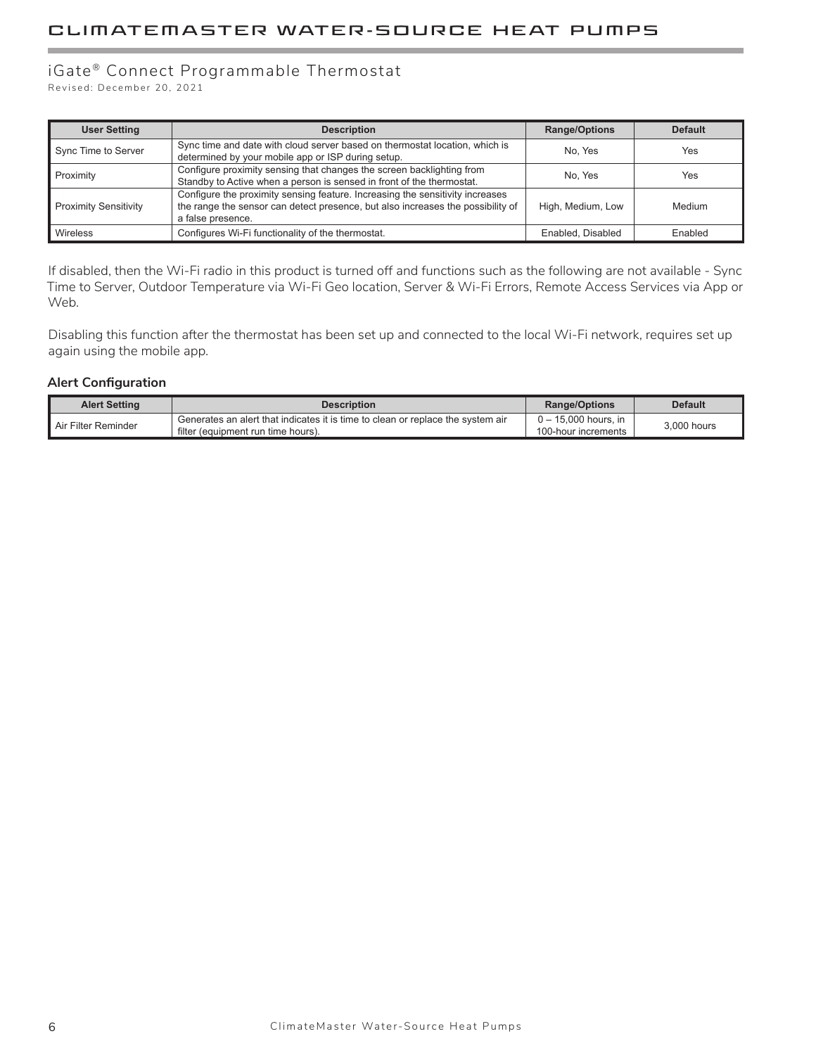### iGate® Connect Programmable Thermostat

Revised: December 20, 2021

| <b>User Setting</b>          | <b>Description</b>                                                                                                                                                                    | <b>Range/Options</b> | <b>Default</b> |
|------------------------------|---------------------------------------------------------------------------------------------------------------------------------------------------------------------------------------|----------------------|----------------|
| Sync Time to Server          | Sync time and date with cloud server based on thermostat location, which is<br>determined by your mobile app or ISP during setup.                                                     | No. Yes              | Yes            |
| Proximity                    | Configure proximity sensing that changes the screen backlighting from<br>Standby to Active when a person is sensed in front of the thermostat.                                        | No. Yes              | Yes            |
| <b>Proximity Sensitivity</b> | Configure the proximity sensing feature. Increasing the sensitivity increases<br>the range the sensor can detect presence, but also increases the possibility of<br>a false presence. | High, Medium, Low    | Medium         |
| Wireless                     | Configures Wi-Fi functionality of the thermostat.                                                                                                                                     | Enabled, Disabled    | Enabled        |

If disabled, then the Wi-Fi radio in this product is turned off and functions such as the following are not available - Sync Time to Server, Outdoor Temperature via Wi-Fi Geo location, Server & Wi-Fi Errors, Remote Access Services via App or Web.

Disabling this function after the thermostat has been set up and connected to the local Wi-Fi network, requires set up again using the mobile app.

#### **Alert Configuration**

| <b>Alert Setting</b> | <b>Description</b>                                                                | <b>Range/Options</b> | <b>Default</b> |
|----------------------|-----------------------------------------------------------------------------------|----------------------|----------------|
| Air Filter Reminder  | . Generates an alert that indicates it is time to clean or replace the system air | 0 – 15.000 hours, in | 3.000 hours    |
|                      | filter (equipment run time hours).                                                | 100-hour increments  |                |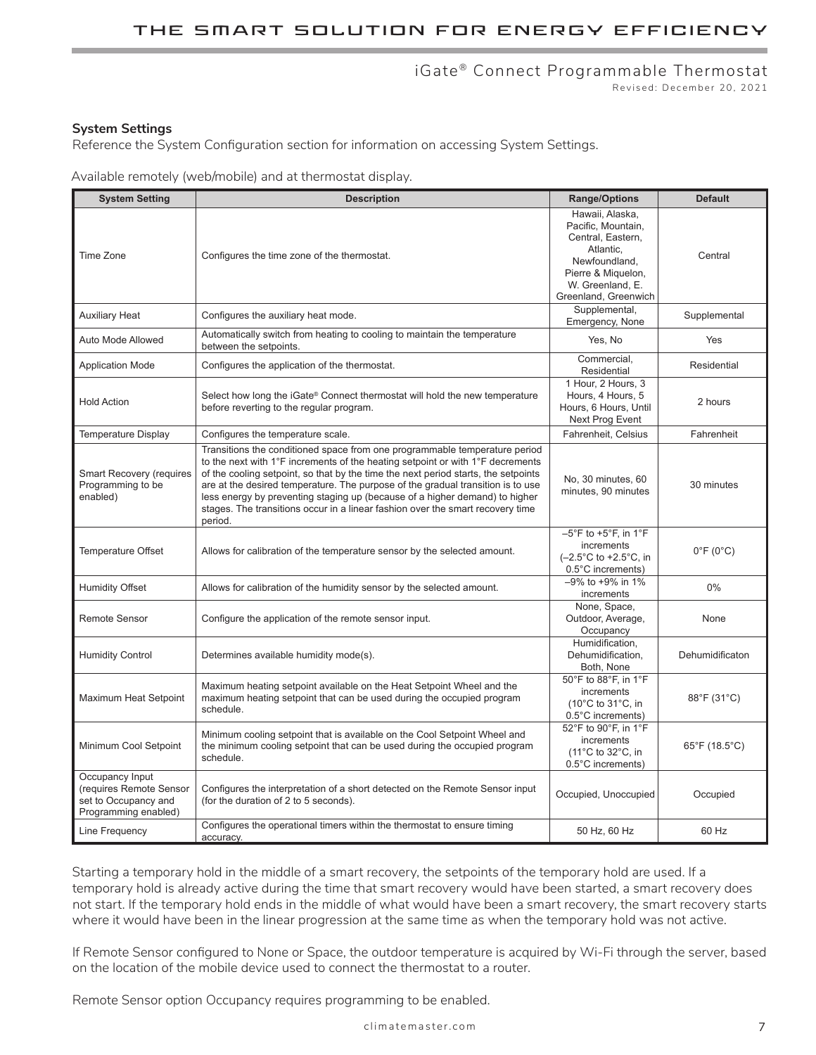# iGate<sup>®</sup> Connect Programmable Thermostat

Revised: December 20, 2021

#### **System Settings**

Reference the System Configuration section for information on accessing System Settings.

Available remotely (web/mobile) and at thermostat display.

| <b>System Setting</b>                                                                      | <b>Description</b>                                                                                                                                                                                                                                                                                                                                                                                                                                                                                                | <b>Range/Options</b>                                                                                                                                       | <b>Default</b>                     |
|--------------------------------------------------------------------------------------------|-------------------------------------------------------------------------------------------------------------------------------------------------------------------------------------------------------------------------------------------------------------------------------------------------------------------------------------------------------------------------------------------------------------------------------------------------------------------------------------------------------------------|------------------------------------------------------------------------------------------------------------------------------------------------------------|------------------------------------|
| Time Zone                                                                                  | Configures the time zone of the thermostat.                                                                                                                                                                                                                                                                                                                                                                                                                                                                       | Hawaii, Alaska,<br>Pacific, Mountain,<br>Central, Eastern,<br>Atlantic,<br>Newfoundland,<br>Pierre & Miquelon,<br>W. Greenland, E.<br>Greenland, Greenwich | Central                            |
| <b>Auxiliary Heat</b>                                                                      | Configures the auxiliary heat mode.                                                                                                                                                                                                                                                                                                                                                                                                                                                                               | Supplemental,<br>Emergency, None                                                                                                                           | Supplemental                       |
| <b>Auto Mode Allowed</b>                                                                   | Automatically switch from heating to cooling to maintain the temperature<br>between the setpoints.                                                                                                                                                                                                                                                                                                                                                                                                                | Yes, No                                                                                                                                                    | Yes                                |
| <b>Application Mode</b>                                                                    | Configures the application of the thermostat.                                                                                                                                                                                                                                                                                                                                                                                                                                                                     | Commercial,<br>Residential                                                                                                                                 | Residential                        |
| <b>Hold Action</b>                                                                         | Select how long the iGate® Connect thermostat will hold the new temperature<br>before reverting to the regular program.                                                                                                                                                                                                                                                                                                                                                                                           | 1 Hour, 2 Hours, 3<br>Hours, 4 Hours, 5<br>Hours, 6 Hours, Until<br>Next Prog Event                                                                        | 2 hours                            |
| <b>Temperature Display</b>                                                                 | Configures the temperature scale.                                                                                                                                                                                                                                                                                                                                                                                                                                                                                 | Fahrenheit, Celsius                                                                                                                                        | Fahrenheit                         |
| <b>Smart Recovery (requires</b><br>Programming to be<br>enabled)                           | Transitions the conditioned space from one programmable temperature period<br>to the next with 1°F increments of the heating setpoint or with 1°F decrements<br>of the cooling setpoint, so that by the time the next period starts, the setpoints<br>are at the desired temperature. The purpose of the gradual transition is to use<br>less energy by preventing staging up (because of a higher demand) to higher<br>stages. The transitions occur in a linear fashion over the smart recovery time<br>period. | No, 30 minutes, 60<br>minutes, 90 minutes                                                                                                                  | 30 minutes                         |
| <b>Temperature Offset</b>                                                                  | Allows for calibration of the temperature sensor by the selected amount.                                                                                                                                                                                                                                                                                                                                                                                                                                          | $-5^{\circ}$ F to +5 $^{\circ}$ F, in 1 $^{\circ}$ F<br>increments<br>(-2.5°C to +2.5°C, in<br>0.5°C increments)                                           | $0^{\circ}$ F (0 $^{\circ}$ C)     |
| <b>Humidity Offset</b>                                                                     | Allows for calibration of the humidity sensor by the selected amount.                                                                                                                                                                                                                                                                                                                                                                                                                                             | -9% to +9% in 1%<br>increments                                                                                                                             | 0%                                 |
| <b>Remote Sensor</b>                                                                       | Configure the application of the remote sensor input.                                                                                                                                                                                                                                                                                                                                                                                                                                                             | None, Space,<br>Outdoor, Average,<br>Occupancy                                                                                                             | None                               |
| <b>Humidity Control</b>                                                                    | Determines available humidity mode(s).                                                                                                                                                                                                                                                                                                                                                                                                                                                                            | Humidification,<br>Dehumidification,<br>Both, None                                                                                                         | Dehumidificaton                    |
| Maximum Heat Setpoint                                                                      | Maximum heating setpoint available on the Heat Setpoint Wheel and the<br>maximum heating setpoint that can be used during the occupied program<br>schedule.                                                                                                                                                                                                                                                                                                                                                       | 50°F to 88°F, in 1°F<br>increments<br>(10°C to 31°C, in<br>0.5°C increments)                                                                               | 88°F (31°C)                        |
| Minimum Cool Setpoint                                                                      | Minimum cooling setpoint that is available on the Cool Setpoint Wheel and<br>the minimum cooling setpoint that can be used during the occupied program<br>schedule.                                                                                                                                                                                                                                                                                                                                               | 52°F to 90°F, in 1°F<br>increments<br>(11°C to 32°C, in<br>0.5°C increments)                                                                               | $65^{\circ}$ F (18.5 $^{\circ}$ C) |
| Occupancy Input<br>(requires Remote Sensor<br>set to Occupancy and<br>Programming enabled) | Configures the interpretation of a short detected on the Remote Sensor input<br>(for the duration of 2 to 5 seconds).                                                                                                                                                                                                                                                                                                                                                                                             | Occupied, Unoccupied                                                                                                                                       | Occupied                           |
| Line Frequency                                                                             | Configures the operational timers within the thermostat to ensure timing<br>accuracy.                                                                                                                                                                                                                                                                                                                                                                                                                             | 50 Hz, 60 Hz                                                                                                                                               | 60 Hz                              |

Starting a temporary hold in the middle of a smart recovery, the setpoints of the temporary hold are used. If a temporary hold is already active during the time that smart recovery would have been started, a smart recovery does not start. If the temporary hold ends in the middle of what would have been a smart recovery, the smart recovery starts where it would have been in the linear progression at the same time as when the temporary hold was not active.

If Remote Sensor configured to None or Space, the outdoor temperature is acquired by Wi-Fi through the server, based on the location of the mobile device used to connect the thermostat to a router.

Remote Sensor option Occupancy requires programming to be enabled.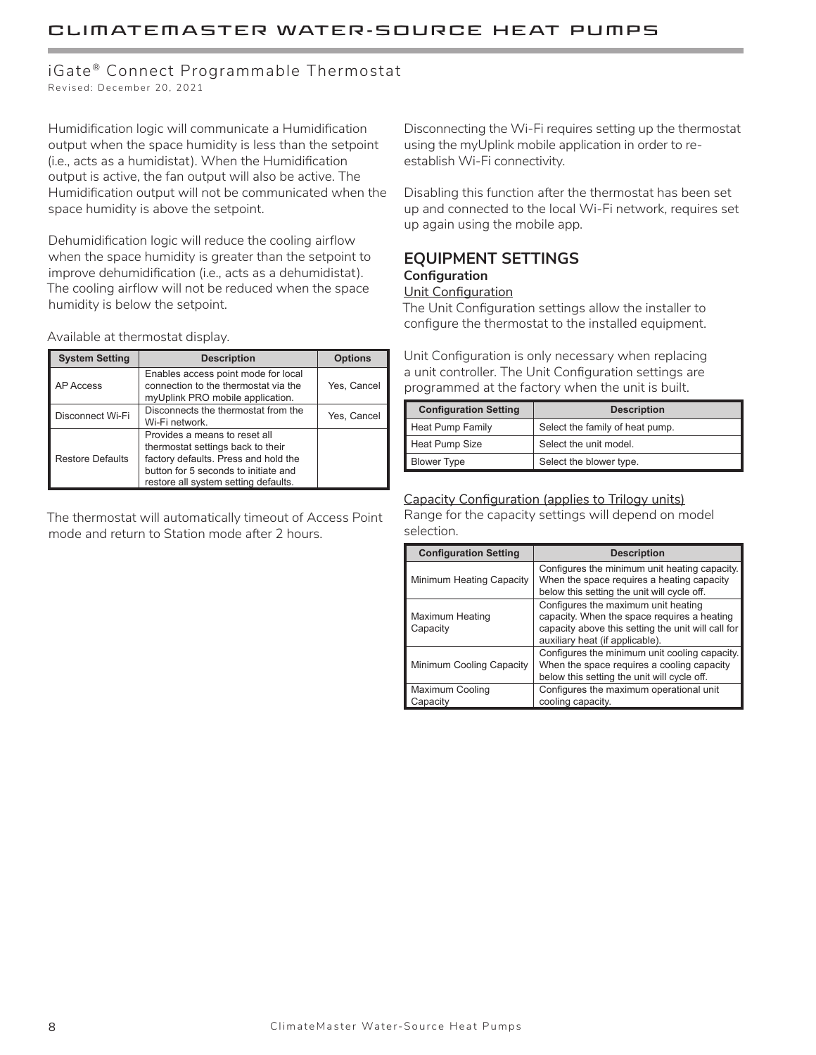## iGate® Connect Programmable Thermostat

Revised: December 20, 2021

Humidification logic will communicate a Humidification output when the space humidity is less than the setpoint (i.e., acts as a humidistat). When the Humidification output is active, the fan output will also be active. The Humidification output will not be communicated when the space humidity is above the setpoint.

Dehumidification logic will reduce the cooling airflow when the space humidity is greater than the setpoint to improve dehumidification (i.e., acts as a dehumidistat). The cooling airflow will not be reduced when the space humidity is below the setpoint.

Available at thermostat display.

| <b>System Setting</b>   | <b>Description</b>                                                                                                                                                                         | <b>Options</b> |
|-------------------------|--------------------------------------------------------------------------------------------------------------------------------------------------------------------------------------------|----------------|
| <b>AP Access</b>        | Enables access point mode for local<br>connection to the thermostat via the<br>myUplink PRO mobile application.                                                                            | Yes, Cancel    |
| Disconnect Wi-Fi        | Disconnects the thermostat from the<br>Wi-Fi network.                                                                                                                                      | Yes, Cancel    |
| <b>Restore Defaults</b> | Provides a means to reset all<br>thermostat settings back to their<br>factory defaults. Press and hold the<br>button for 5 seconds to initiate and<br>restore all system setting defaults. |                |

The thermostat will automatically timeout of Access Point mode and return to Station mode after 2 hours.

Disconnecting the Wi-Fi requires setting up the thermostat using the myUplink mobile application in order to reestablish Wi-Fi connectivity.

Disabling this function after the thermostat has been set up and connected to the local Wi-Fi network, requires set up again using the mobile app.

#### **EQUIPMENT SETTINGS Configuration**

#### Unit Configuration

The Unit Configuration settings allow the installer to configure the thermostat to the installed equipment.

Unit Configuration is only necessary when replacing a unit controller. The Unit Configuration settings are programmed at the factory when the unit is built.

| <b>Configuration Setting</b> | <b>Description</b>              |
|------------------------------|---------------------------------|
| Heat Pump Family             | Select the family of heat pump. |
| Heat Pump Size               | Select the unit model.          |
| <b>Blower Type</b>           | Select the blower type.         |

Capacity Configuration (applies to Trilogy units) Range for the capacity settings will depend on model selection.

| <b>Configuration Setting</b>       | <b>Description</b>                                                                                                                                                          |
|------------------------------------|-----------------------------------------------------------------------------------------------------------------------------------------------------------------------------|
| Minimum Heating Capacity           | Configures the minimum unit heating capacity.<br>When the space requires a heating capacity<br>below this setting the unit will cycle off.                                  |
| <b>Maximum Heating</b><br>Capacity | Configures the maximum unit heating<br>capacity. When the space requires a heating<br>capacity above this setting the unit will call for<br>auxiliary heat (if applicable). |
| Minimum Cooling Capacity           | Configures the minimum unit cooling capacity.<br>When the space requires a cooling capacity<br>below this setting the unit will cycle off.                                  |
| Maximum Cooling<br>Capacity        | Configures the maximum operational unit<br>cooling capacity.                                                                                                                |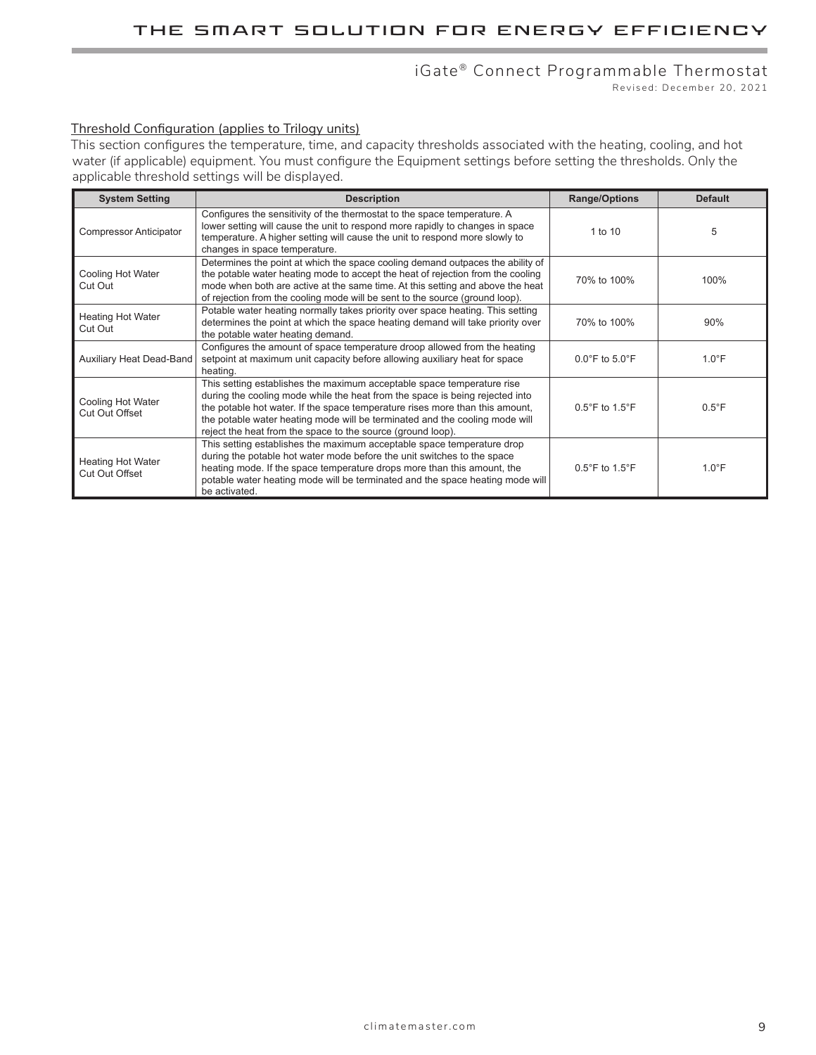### iGate® Connect Programmable Thermostat

Revised: December 20, 2021

### Threshold Configuration (applies to Trilogy units)

This section configures the temperature, time, and capacity thresholds associated with the heating, cooling, and hot water (if applicable) equipment. You must configure the Equipment settings before setting the thresholds. Only the applicable threshold settings will be displayed.

| <b>System Setting</b>                             | <b>Description</b>                                                                                                                                                                                                                                                                                                                                                                   | <b>Range/Options</b>                | <b>Default</b>  |
|---------------------------------------------------|--------------------------------------------------------------------------------------------------------------------------------------------------------------------------------------------------------------------------------------------------------------------------------------------------------------------------------------------------------------------------------------|-------------------------------------|-----------------|
| <b>Compressor Anticipator</b>                     | Configures the sensitivity of the thermostat to the space temperature. A<br>lower setting will cause the unit to respond more rapidly to changes in space<br>temperature. A higher setting will cause the unit to respond more slowly to<br>changes in space temperature.                                                                                                            | 1 to $10$                           | 5               |
| Cooling Hot Water<br>Cut Out                      | Determines the point at which the space cooling demand outpaces the ability of<br>the potable water heating mode to accept the heat of rejection from the cooling<br>mode when both are active at the same time. At this setting and above the heat<br>of rejection from the cooling mode will be sent to the source (ground loop).                                                  | 70% to 100%                         | 100%            |
| <b>Heating Hot Water</b><br>Cut Out               | Potable water heating normally takes priority over space heating. This setting<br>determines the point at which the space heating demand will take priority over<br>the potable water heating demand.                                                                                                                                                                                | 70% to 100%                         | 90%             |
| Auxiliary Heat Dead-Band                          | Configures the amount of space temperature droop allowed from the heating<br>setpoint at maximum unit capacity before allowing auxiliary heat for space<br>heating.                                                                                                                                                                                                                  | $0.0^{\circ}$ F to $5.0^{\circ}$ F  | $1.0^{\circ}$ F |
| Cooling Hot Water<br><b>Cut Out Offset</b>        | This setting establishes the maximum acceptable space temperature rise<br>during the cooling mode while the heat from the space is being rejected into<br>the potable hot water. If the space temperature rises more than this amount,<br>the potable water heating mode will be terminated and the cooling mode will<br>reject the heat from the space to the source (ground loop). | $0.5^{\circ}$ F to 1.5 $^{\circ}$ F | $0.5^{\circ}$ F |
| <b>Heating Hot Water</b><br><b>Cut Out Offset</b> | This setting establishes the maximum acceptable space temperature drop<br>during the potable hot water mode before the unit switches to the space<br>heating mode. If the space temperature drops more than this amount, the<br>potable water heating mode will be terminated and the space heating mode will<br>be activated.                                                       | $0.5^{\circ}$ F to 1.5 $^{\circ}$ F | $1.0^{\circ}$ F |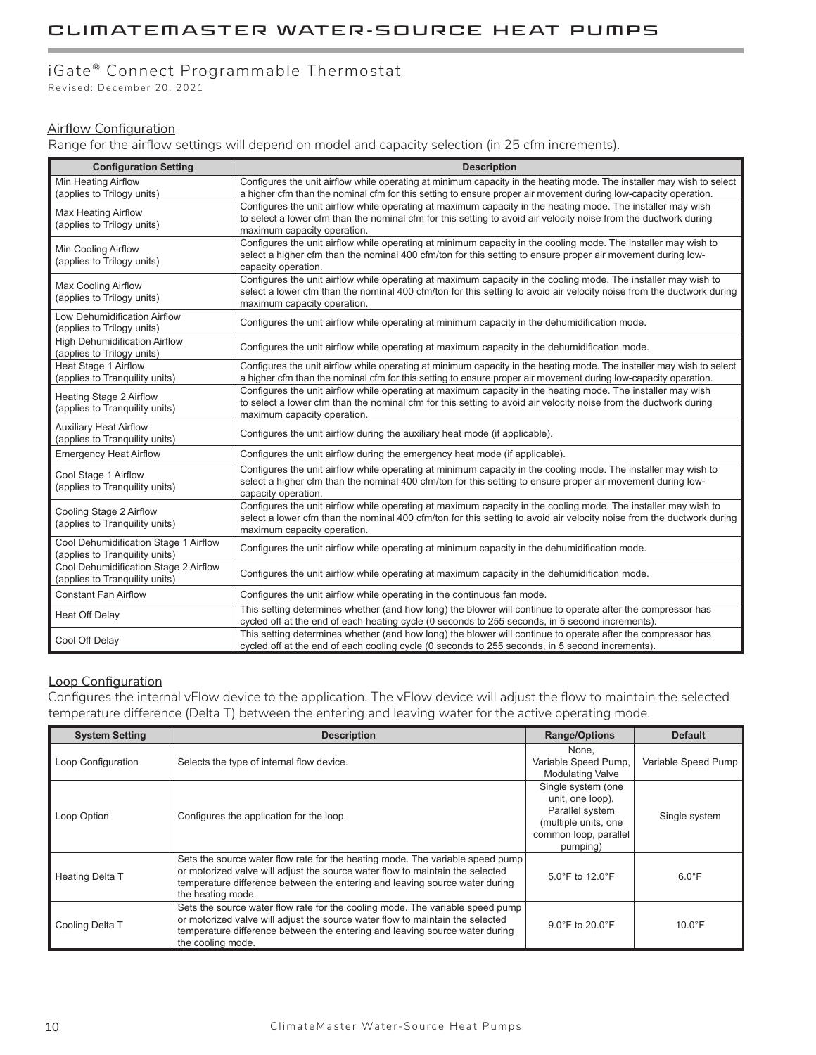### iGate® Connect Programmable Thermostat

Revised: December 20, 2021

### Airflow Configuration

Range for the airflow settings will depend on model and capacity selection (in 25 cfm increments).

| <b>Configuration Setting</b>                                            | <b>Description</b>                                                                                                                                                                                                                                                     |
|-------------------------------------------------------------------------|------------------------------------------------------------------------------------------------------------------------------------------------------------------------------------------------------------------------------------------------------------------------|
| Min Heating Airflow<br>(applies to Trilogy units)                       | Configures the unit airflow while operating at minimum capacity in the heating mode. The installer may wish to select<br>a higher cfm than the nominal cfm for this setting to ensure proper air movement during low-capacity operation.                               |
| Max Heating Airflow<br>(applies to Trilogy units)                       | Configures the unit airflow while operating at maximum capacity in the heating mode. The installer may wish<br>to select a lower cfm than the nominal cfm for this setting to avoid air velocity noise from the ductwork during<br>maximum capacity operation.         |
| <b>Min Cooling Airflow</b><br>(applies to Trilogy units)                | Configures the unit airflow while operating at minimum capacity in the cooling mode. The installer may wish to<br>select a higher cfm than the nominal 400 cfm/ton for this setting to ensure proper air movement during low-<br>capacity operation.                   |
| Max Cooling Airflow<br>(applies to Trilogy units)                       | Configures the unit airflow while operating at maximum capacity in the cooling mode. The installer may wish to<br>select a lower cfm than the nominal 400 cfm/ton for this setting to avoid air velocity noise from the ductwork during<br>maximum capacity operation. |
| Low Dehumidification Airflow<br>(applies to Trilogy units)              | Configures the unit airflow while operating at minimum capacity in the dehumidification mode.                                                                                                                                                                          |
| <b>High Dehumidification Airflow</b><br>(applies to Trilogy units)      | Configures the unit airflow while operating at maximum capacity in the dehumidification mode.                                                                                                                                                                          |
| Heat Stage 1 Airflow<br>(applies to Tranquility units)                  | Configures the unit airflow while operating at minimum capacity in the heating mode. The installer may wish to select<br>a higher cfm than the nominal cfm for this setting to ensure proper air movement during low-capacity operation.                               |
| <b>Heating Stage 2 Airflow</b><br>(applies to Tranquility units)        | Configures the unit airflow while operating at maximum capacity in the heating mode. The installer may wish<br>to select a lower cfm than the nominal cfm for this setting to avoid air velocity noise from the ductwork during<br>maximum capacity operation.         |
| <b>Auxiliary Heat Airflow</b><br>(applies to Tranquility units)         | Configures the unit airflow during the auxiliary heat mode (if applicable).                                                                                                                                                                                            |
| <b>Emergency Heat Airflow</b>                                           | Configures the unit airflow during the emergency heat mode (if applicable).                                                                                                                                                                                            |
| Cool Stage 1 Airflow<br>(applies to Tranquility units)                  | Configures the unit airflow while operating at minimum capacity in the cooling mode. The installer may wish to<br>select a higher cfm than the nominal 400 cfm/ton for this setting to ensure proper air movement during low-<br>capacity operation.                   |
| Cooling Stage 2 Airflow<br>(applies to Tranquility units)               | Configures the unit airflow while operating at maximum capacity in the cooling mode. The installer may wish to<br>select a lower cfm than the nominal 400 cfm/ton for this setting to avoid air velocity noise from the ductwork during<br>maximum capacity operation. |
| Cool Dehumidification Stage 1 Airflow<br>(applies to Tranquility units) | Configures the unit airflow while operating at minimum capacity in the dehumidification mode.                                                                                                                                                                          |
| Cool Dehumidification Stage 2 Airflow<br>(applies to Tranquility units) | Configures the unit airflow while operating at maximum capacity in the dehumidification mode.                                                                                                                                                                          |
| <b>Constant Fan Airflow</b>                                             | Configures the unit airflow while operating in the continuous fan mode.                                                                                                                                                                                                |
| Heat Off Delay                                                          | This setting determines whether (and how long) the blower will continue to operate after the compressor has<br>cycled off at the end of each heating cycle (0 seconds to 255 seconds, in 5 second increments).                                                         |
| Cool Off Delay                                                          | This setting determines whether (and how long) the blower will continue to operate after the compressor has<br>cycled off at the end of each cooling cycle (0 seconds to 255 seconds, in 5 second increments).                                                         |

### Loop Configuration

Configures the internal vFlow device to the application. The vFlow device will adjust the flow to maintain the selected temperature difference (Delta T) between the entering and leaving water for the active operating mode.

| <b>System Setting</b> | <b>Description</b>                                                                                                                                                                                                                                                 | <b>Range/Options</b>                                                                                                   | <b>Default</b>      |
|-----------------------|--------------------------------------------------------------------------------------------------------------------------------------------------------------------------------------------------------------------------------------------------------------------|------------------------------------------------------------------------------------------------------------------------|---------------------|
| Loop Configuration    | Selects the type of internal flow device.                                                                                                                                                                                                                          | None.<br>Variable Speed Pump,<br><b>Modulating Valve</b>                                                               | Variable Speed Pump |
| Loop Option           | Configures the application for the loop.                                                                                                                                                                                                                           | Single system (one<br>unit, one loop),<br>Parallel system<br>(multiple units, one<br>common loop, parallel<br>pumping) | Single system       |
| Heating Delta T       | Sets the source water flow rate for the heating mode. The variable speed pump<br>or motorized valve will adjust the source water flow to maintain the selected<br>temperature difference between the entering and leaving source water during<br>the heating mode. | $5.0^{\circ}$ F to $12.0^{\circ}$ F                                                                                    | $6.0^{\circ}$ F     |
| Cooling Delta T       | Sets the source water flow rate for the cooling mode. The variable speed pump<br>or motorized valve will adjust the source water flow to maintain the selected<br>temperature difference between the entering and leaving source water during<br>the cooling mode. | $9.0^{\circ}$ F to $20.0^{\circ}$ F                                                                                    | $10.0^{\circ}$ F    |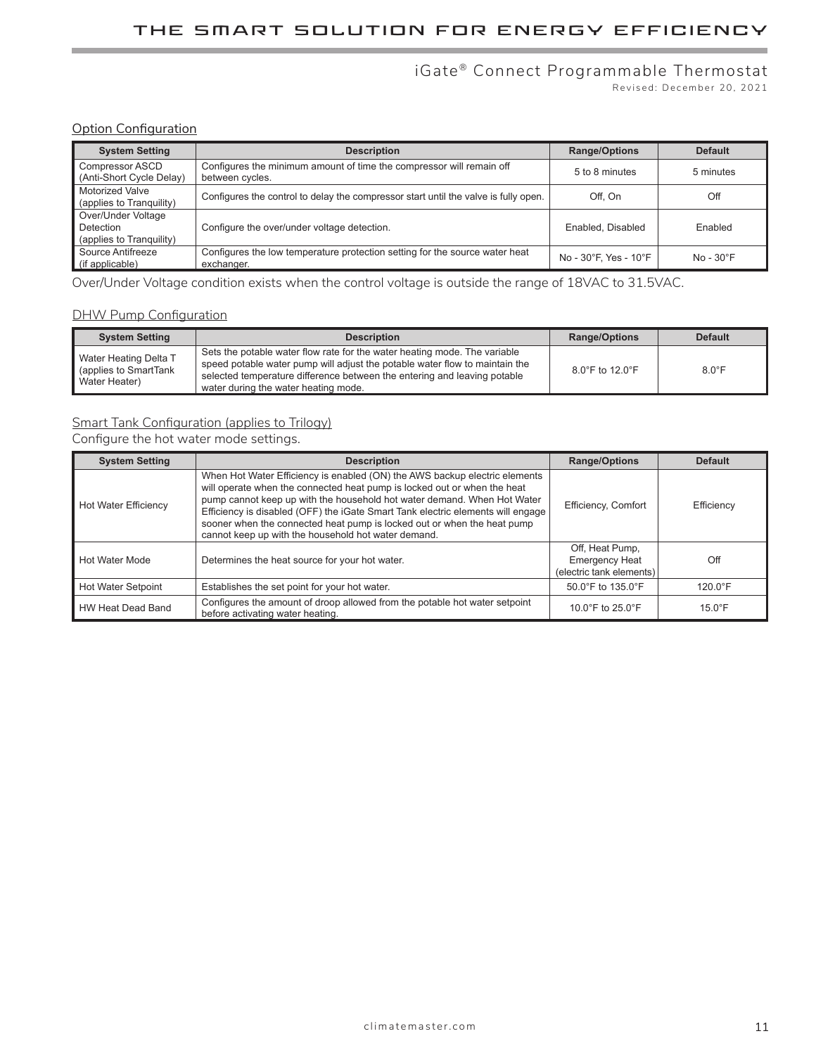### iGate ® Connect Programmable Thermostat

Revised: December 20, 2021

### **Option Configuration**

| <b>System Setting</b>                                       | <b>Description</b>                                                                        | <b>Range/Options</b>  | <b>Default</b>     |
|-------------------------------------------------------------|-------------------------------------------------------------------------------------------|-----------------------|--------------------|
| Compressor ASCD<br>(Anti-Short Cycle Delay)                 | Configures the minimum amount of time the compressor will remain off<br>between cycles.   | 5 to 8 minutes        | 5 minutes          |
| <b>Motorized Valve</b><br>(applies to Tranquility)          | Configures the control to delay the compressor start until the valve is fully open.       | Off. On               | Off                |
| Over/Under Voltage<br>Detection<br>(applies to Tranquility) | Configure the over/under voltage detection.                                               | Enabled, Disabled     | Enabled            |
| Source Antifreeze<br>(if applicable)                        | Configures the low temperature protection setting for the source water heat<br>exchanger. | No - 30°F. Yes - 10°F | $No - 30^{\circ}F$ |

Over/Under Voltage condition exists when the control voltage is outside the range of 18VAC to 31.5VAC.

#### DHW Pump Configuration

| <b>System Setting</b>                                             | <b>Description</b>                                                                                                                                                                                                                                                           | <b>Range/Options</b>                 | <b>Default</b>  |
|-------------------------------------------------------------------|------------------------------------------------------------------------------------------------------------------------------------------------------------------------------------------------------------------------------------------------------------------------------|--------------------------------------|-----------------|
| Water Heating Delta T<br>q (applies to SmartTank<br>Water Heater) | Sets the potable water flow rate for the water heating mode. The variable<br>speed potable water pump will adjust the potable water flow to maintain the<br>selected temperature difference between the entering and leaving potable<br>water during the water heating mode. | $8.0^{\circ}$ F to 12.0 $^{\circ}$ F | $8.0^{\circ}$ F |

### Smart Tank Configuration (applies to Trilogy)

Configure the hot water mode settings.

| <b>System Setting</b>     | <b>Description</b>                                                                                                                                                                                                                                                                                                                                                                                                                                     | <b>Range/Options</b>                                                 | <b>Default</b>    |
|---------------------------|--------------------------------------------------------------------------------------------------------------------------------------------------------------------------------------------------------------------------------------------------------------------------------------------------------------------------------------------------------------------------------------------------------------------------------------------------------|----------------------------------------------------------------------|-------------------|
| Hot Water Efficiency      | When Hot Water Efficiency is enabled (ON) the AWS backup electric elements<br>will operate when the connected heat pump is locked out or when the heat<br>pump cannot keep up with the household hot water demand. When Hot Water<br>Efficiency is disabled (OFF) the iGate Smart Tank electric elements will engage<br>sooner when the connected heat pump is locked out or when the heat pump<br>cannot keep up with the household hot water demand. | Efficiency, Comfort                                                  | Efficiency        |
| Hot Water Mode            | Determines the heat source for your hot water.                                                                                                                                                                                                                                                                                                                                                                                                         | Off, Heat Pump,<br><b>Emergency Heat</b><br>(electric tank elements) | Off               |
| <b>Hot Water Setpoint</b> | Establishes the set point for your hot water.                                                                                                                                                                                                                                                                                                                                                                                                          | 50.0°F to 135.0°F                                                    | $120.0^{\circ}$ F |
| HW Heat Dead Band         | Configures the amount of droop allowed from the potable hot water setpoint<br>before activating water heating.                                                                                                                                                                                                                                                                                                                                         | 10.0 $\degree$ F to 25.0 $\degree$ F                                 | $15.0^{\circ}$ F  |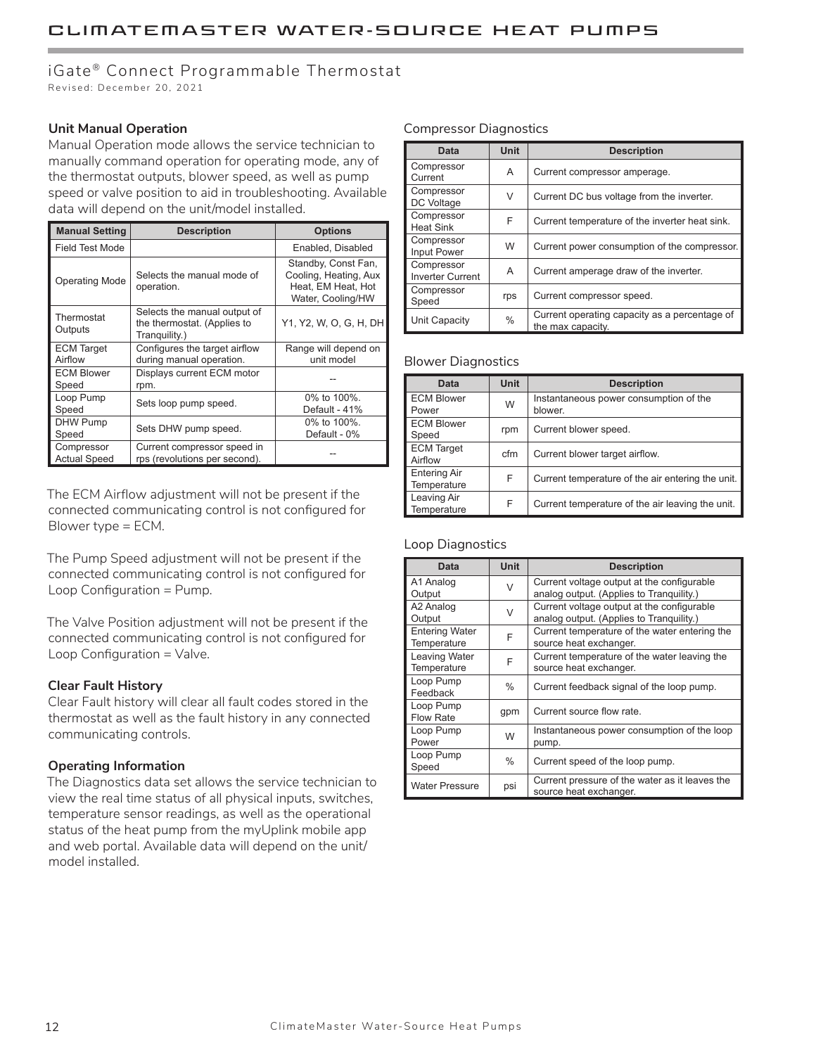### iGate® Connect Programmable Thermostat

Revised: December 20, 2021

#### **Unit Manual Operation**

Manual Operation mode allows the service technician to manually command operation for operating mode, any of the thermostat outputs, blower speed, as well as pump speed or valve position to aid in troubleshooting. Available data will depend on the unit/model installed.

| <b>Manual Setting</b>             | <b>Description</b>                                                           | <b>Options</b>                                                                          |
|-----------------------------------|------------------------------------------------------------------------------|-----------------------------------------------------------------------------------------|
| <b>Field Test Mode</b>            |                                                                              | Enabled, Disabled                                                                       |
| <b>Operating Mode</b>             | Selects the manual mode of<br>operation.                                     | Standby, Const Fan,<br>Cooling, Heating, Aux<br>Heat, EM Heat, Hot<br>Water, Cooling/HW |
| Thermostat<br>Outputs             | Selects the manual output of<br>the thermostat. (Applies to<br>Tranquility.) | Y1, Y2, W, O, G, H, DH                                                                  |
| <b>ECM Target</b><br>Airflow      | Configures the target airflow<br>during manual operation.                    | Range will depend on<br>unit model                                                      |
| <b>ECM Blower</b><br>Speed        | Displays current ECM motor<br>rpm.                                           |                                                                                         |
| Loop Pump<br>Speed                | Sets loop pump speed.                                                        | 0% to 100%.<br>Default - 41%                                                            |
| DHW Pump<br>Speed                 | Sets DHW pump speed.                                                         | 0% to 100%.<br>Default - 0%                                                             |
| Compressor<br><b>Actual Speed</b> | Current compressor speed in<br>rps (revolutions per second).                 |                                                                                         |

The ECM Airflow adjustment will not be present if the connected communicating control is not configured for Blower type = ECM.

The Pump Speed adjustment will not be present if the connected communicating control is not configured for Loop Configuration = Pump.

The Valve Position adjustment will not be present if the connected communicating control is not configured for Loop Configuration = Valve.

#### **Clear Fault History**

Clear Fault history will clear all fault codes stored in the thermostat as well as the fault history in any connected communicating controls.

#### **Operating Information**

The Diagnostics data set allows the service technician to view the real time status of all physical inputs, switches, temperature sensor readings, as well as the operational status of the heat pump from the myUplink mobile app and web portal. Available data will depend on the unit/ model installed.

#### Compressor Diagnostics

| Data                                  | Unit | <b>Description</b>                                                 |
|---------------------------------------|------|--------------------------------------------------------------------|
| Compressor<br>Current                 | A    | Current compressor amperage.                                       |
| Compressor<br>DC Voltage              | V    | Current DC bus voltage from the inverter.                          |
| Compressor<br><b>Heat Sink</b>        | F    | Current temperature of the inverter heat sink.                     |
| Compressor<br><b>Input Power</b>      | W    | Current power consumption of the compressor.                       |
| Compressor<br><b>Inverter Current</b> | A    | Current amperage draw of the inverter.                             |
| Compressor<br>Speed                   | rps  | Current compressor speed.                                          |
| Unit Capacity                         | %    | Current operating capacity as a percentage of<br>the max capacity. |

#### Blower Diagnostics

| <b>Data</b>                        | <b>Unit</b> | <b>Description</b>                                |
|------------------------------------|-------------|---------------------------------------------------|
| <b>ECM Blower</b><br>Power         | W           | Instantaneous power consumption of the<br>blower. |
| <b>ECM Blower</b><br>Speed         | rpm         | Current blower speed.                             |
| <b>ECM Target</b><br>Airflow       | cfm         | Current blower target airflow.                    |
| <b>Entering Air</b><br>Temperature | F           | Current temperature of the air entering the unit. |
| Leaving Air<br>Temperature         | F           | Current temperature of the air leaving the unit.  |

#### Loop Diagnostics

| <b>Data</b>                          | <b>Unit</b>   | <b>Description</b>                                                                     |
|--------------------------------------|---------------|----------------------------------------------------------------------------------------|
| A1 Analog<br>Output                  | V             | Current voltage output at the configurable<br>analog output. (Applies to Tranquility.) |
| A2 Analog<br>Output                  | $\vee$        | Current voltage output at the configurable<br>analog output. (Applies to Tranquility.) |
| <b>Entering Water</b><br>Temperature | F             | Current temperature of the water entering the<br>source heat exchanger.                |
| Leaving Water<br>Temperature         | F             | Current temperature of the water leaving the<br>source heat exchanger.                 |
| Loop Pump<br>Feedback                | $\frac{0}{0}$ | Current feedback signal of the loop pump.                                              |
| Loop Pump<br>Flow Rate               | gpm           | Current source flow rate.                                                              |
| Loop Pump<br>Power                   | W             | Instantaneous power consumption of the loop<br>pump.                                   |
| Loop Pump<br>Speed                   | $\%$          | Current speed of the loop pump.                                                        |
| <b>Water Pressure</b>                | psi           | Current pressure of the water as it leaves the<br>source heat exchanger.               |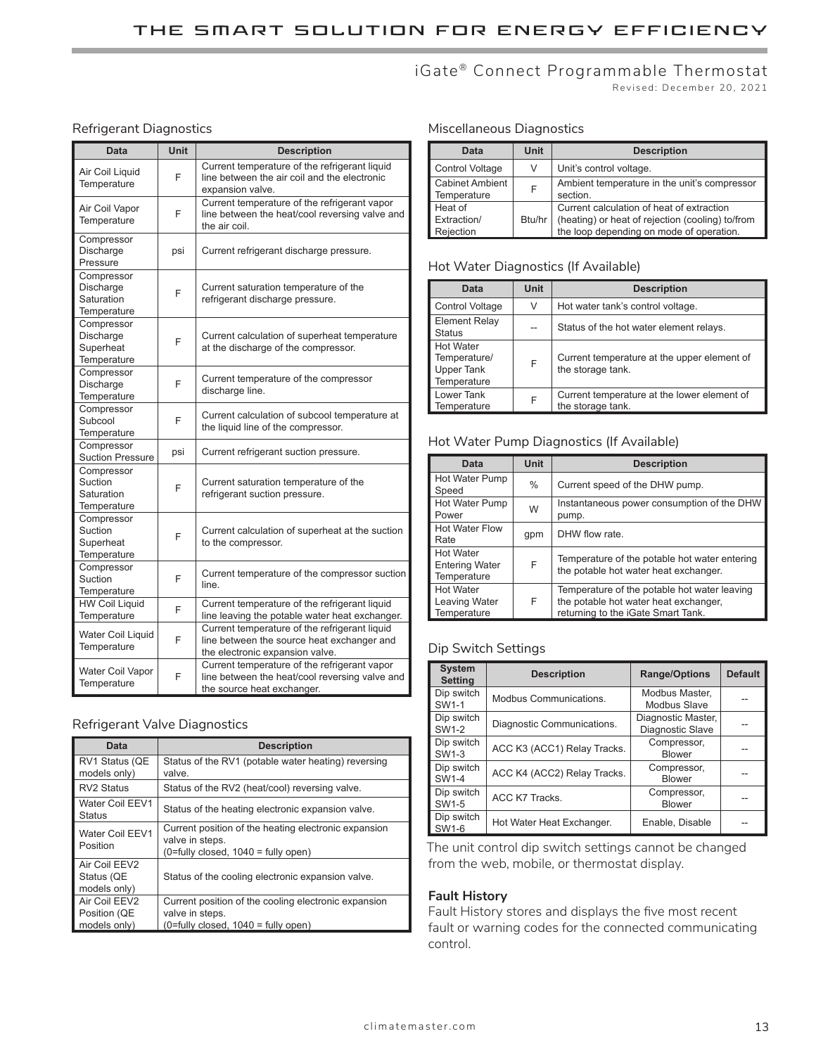# iGate<sup>®</sup> Connect Programmable Thermostat

### Revised: December 20, 2021

### Refrigerant Diagnostics

| Data                                                 | <b>Unit</b> | <b>Description</b>                                                                                                             |
|------------------------------------------------------|-------------|--------------------------------------------------------------------------------------------------------------------------------|
| Air Coil Liquid<br>Temperature                       | F           | Current temperature of the refrigerant liquid<br>line between the air coil and the electronic<br>expansion valve.              |
| Air Coil Vapor<br>Temperature                        | F           | Current temperature of the refrigerant vapor<br>line between the heat/cool reversing valve and<br>the air coil.                |
| Compressor<br>Discharge<br>Pressure                  | psi         | Current refrigerant discharge pressure.                                                                                        |
| Compressor<br>Discharge<br>Saturation<br>Temperature | F           | Current saturation temperature of the<br>refrigerant discharge pressure.                                                       |
| Compressor<br>Discharge<br>Superheat<br>Temperature  | F           | Current calculation of superheat temperature<br>at the discharge of the compressor.                                            |
| Compressor<br>Discharge<br>Temperature               | F           | Current temperature of the compressor<br>discharge line.                                                                       |
| Compressor<br>Subcool<br>Temperature                 | F           | Current calculation of subcool temperature at<br>the liquid line of the compressor.                                            |
| Compressor<br><b>Suction Pressure</b>                | psi         | Current refrigerant suction pressure.                                                                                          |
| Compressor<br>Suction<br>Saturation<br>Temperature   | F           | Current saturation temperature of the<br>refrigerant suction pressure.                                                         |
| Compressor<br>Suction<br>Superheat<br>Temperature    | F           | Current calculation of superheat at the suction<br>to the compressor.                                                          |
| Compressor<br>Suction<br>Temperature                 | F           | Current temperature of the compressor suction<br>line.                                                                         |
| <b>HW Coil Liguid</b><br>Temperature                 | F           | Current temperature of the refrigerant liquid<br>line leaving the potable water heat exchanger.                                |
| Water Coil Liquid<br>Temperature                     | F           | Current temperature of the refrigerant liquid<br>line between the source heat exchanger and<br>the electronic expansion valve. |
| Water Coil Vapor<br>Temperature                      | F           | Current temperature of the refrigerant vapor<br>line between the heat/cool reversing valve and<br>the source heat exchanger.   |

#### Refrigerant Valve Diagnostics

| Data                                          | <b>Description</b>                                                                                                 |
|-----------------------------------------------|--------------------------------------------------------------------------------------------------------------------|
| RV1 Status (QE<br>models only)                | Status of the RV1 (potable water heating) reversing<br>valve.                                                      |
| <b>RV2 Status</b>                             | Status of the RV2 (heat/cool) reversing valve.                                                                     |
| Water Coil EEV1<br><b>Status</b>              | Status of the heating electronic expansion valve.                                                                  |
| Water Coil EEV1<br>Position                   | Current position of the heating electronic expansion<br>valve in steps.<br>$(0 = fully closed, 1040 = fully open)$ |
| Air Coil EEV2<br>Status (QE<br>models only)   | Status of the cooling electronic expansion valve.                                                                  |
| Air Coil EEV2<br>Position (QE<br>models only) | Current position of the cooling electronic expansion<br>valve in steps.<br>(0=fully closed, 1040 = fully open)     |

#### Miscellaneous Diagnostics

| Data                                  | Unit   | <b>Description</b>                                                                                                                        |
|---------------------------------------|--------|-------------------------------------------------------------------------------------------------------------------------------------------|
| Control Voltage                       | V      | Unit's control voltage.                                                                                                                   |
| <b>Cabinet Ambient</b><br>Temperature | F      | Ambient temperature in the unit's compressor<br>section.                                                                                  |
| Heat of<br>Extraction/<br>Rejection   | Btu/hr | Current calculation of heat of extraction<br>(heating) or heat of rejection (cooling) to/from<br>the loop depending on mode of operation. |

#### Hot Water Diagnostics (If Available)

| Data                                                                 | <b>Unit</b> | <b>Description</b>                                               |
|----------------------------------------------------------------------|-------------|------------------------------------------------------------------|
| Control Voltage                                                      | V           | Hot water tank's control voltage.                                |
| <b>Element Relay</b><br><b>Status</b>                                |             | Status of the hot water element relays.                          |
| <b>Hot Water</b><br>Temperature/<br><b>Upper Tank</b><br>Temperature | F           | Current temperature at the upper element of<br>the storage tank. |
| Lower Tank<br>Temperature                                            | F           | Current temperature at the lower element of<br>the storage tank. |

#### Hot Water Pump Diagnostics (If Available)

| Data                                                     | <b>Unit</b> | <b>Description</b>                                                                                                          |
|----------------------------------------------------------|-------------|-----------------------------------------------------------------------------------------------------------------------------|
| Hot Water Pump<br>Speed                                  | $\%$        | Current speed of the DHW pump.                                                                                              |
| Hot Water Pump<br>Power                                  | W           | Instantaneous power consumption of the DHW<br>pump.                                                                         |
| <b>Hot Water Flow</b><br>Rate                            | qpm         | DHW flow rate.                                                                                                              |
| <b>Hot Water</b><br><b>Entering Water</b><br>Temperature | F           | Temperature of the potable hot water entering<br>the potable hot water heat exchanger.                                      |
| <b>Hot Water</b><br>Leaving Water<br>Temperature         | F           | Temperature of the potable hot water leaving<br>the potable hot water heat exchanger,<br>returning to the iGate Smart Tank. |

### Dip Switch Settings

| <b>System</b><br><b>Setting</b> | <b>Description</b>          | <b>Range/Options</b>                   | <b>Default</b> |
|---------------------------------|-----------------------------|----------------------------------------|----------------|
| Dip switch<br>SW1-1             | Modbus Communications.      | Modbus Master,<br>Modbus Slave         |                |
| Dip switch<br>SW1-2             | Diagnostic Communications.  | Diagnostic Master,<br>Diagnostic Slave |                |
| Dip switch<br>SW1-3             | ACC K3 (ACC1) Relay Tracks. | Compressor,<br><b>Blower</b>           |                |
| Dip switch<br>SW1-4             | ACC K4 (ACC2) Relay Tracks. | Compressor,<br><b>Blower</b>           |                |
| Dip switch<br>SW1-5             | ACC K7 Tracks.              | Compressor,<br><b>Blower</b>           |                |
| Dip switch<br>l SW1-6           | Hot Water Heat Exchanger.   | Enable, Disable                        |                |

The unit control dip switch settings cannot be changed from the web, mobile, or thermostat display.

#### **Fault History**

Fault History stores and displays the five most recent fault or warning codes for the connected communicating control.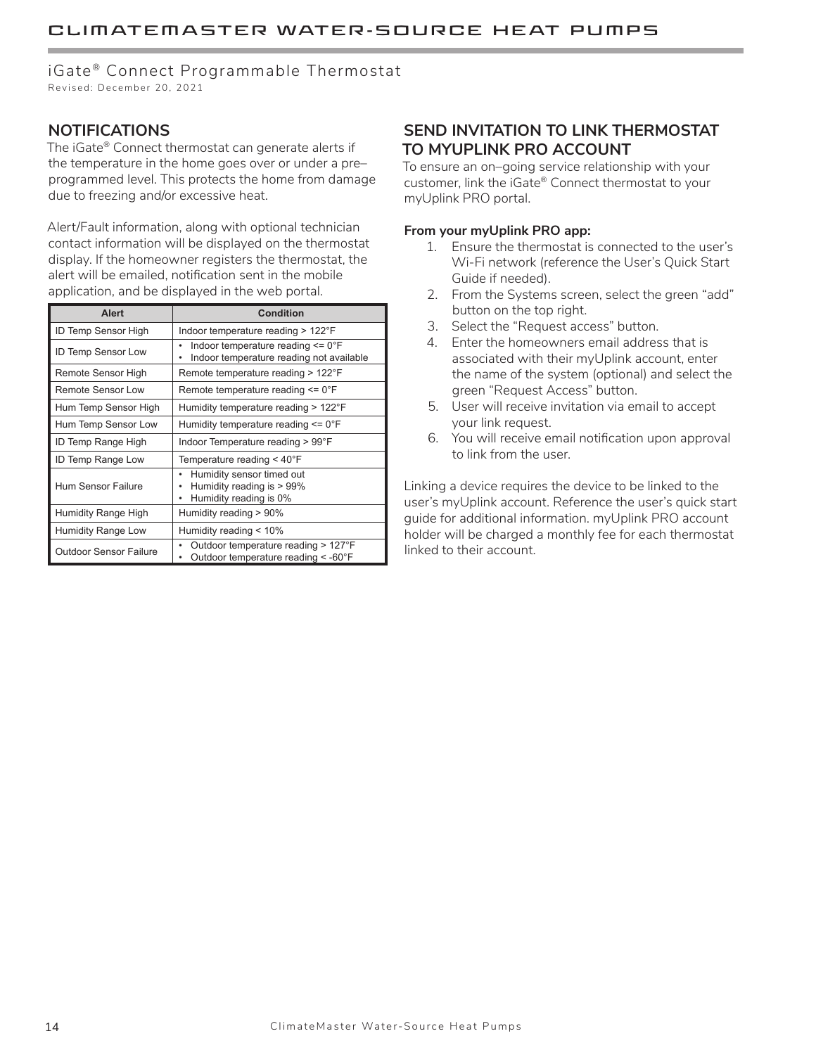### iGate® Connect Programmable Thermostat

Revised: December 20, 2021

### **NOTIFICATIONS**

The iGate® Connect thermostat can generate alerts if the temperature in the home goes over or under a pre– programmed level. This protects the home from damage due to freezing and/or excessive heat.

Alert/Fault information, along with optional technician contact information will be displayed on the thermostat display. If the homeowner registers the thermostat, the alert will be emailed, notification sent in the mobile application, and be displayed in the web portal.

| <b>Alert</b>                  | <b>Condition</b>                                                                                |  |
|-------------------------------|-------------------------------------------------------------------------------------------------|--|
| ID Temp Sensor High           | Indoor temperature reading > 122°F                                                              |  |
| ID Temp Sensor Low            | Indoor temperature reading $\leq$ 0°F<br>Indoor temperature reading not available               |  |
| Remote Sensor High            | Remote temperature reading > 122°F                                                              |  |
| <b>Remote Sensor Low</b>      | Remote temperature reading $\leq 0$ °F                                                          |  |
| Hum Temp Sensor High          | Humidity temperature reading $>122^{\circ}$ F                                                   |  |
| Hum Temp Sensor Low           | Humidity temperature reading $\leq 0^\circ$ F                                                   |  |
| ID Temp Range High            | Indoor Temperature reading > 99°F                                                               |  |
| ID Temp Range Low             | Temperature reading $<$ 40 $\degree$ F                                                          |  |
| <b>Hum Sensor Failure</b>     | Humidity sensor timed out<br>٠<br>Humidity reading is > 99%<br>٠<br>Humidity reading is 0%<br>٠ |  |
| Humidity Range High           | Humidity reading > 90%                                                                          |  |
| Humidity Range Low            | Humidity reading $< 10\%$                                                                       |  |
| <b>Outdoor Sensor Failure</b> | Outdoor temperature reading > 127°F<br>Outdoor temperature reading < -60°F                      |  |

### **SEND INVITATION TO LINK THERMOSTAT TO MYUPLINK PRO ACCOUNT**

To ensure an on–going service relationship with your customer, link the iGate® Connect thermostat to your myUplink PRO portal.

#### **From your myUplink PRO app:**

- 1. Ensure the thermostat is connected to the user's Wi-Fi network (reference the User's Quick Start Guide if needed).
- 2. From the Systems screen, select the green "add" button on the top right.
- 3. Select the "Request access" button.
- 4. Enter the homeowners email address that is associated with their myUplink account, enter the name of the system (optional) and select the green "Request Access" button.
- 5. User will receive invitation via email to accept your link request.
- 6. You will receive email notification upon approval to link from the user.

Linking a device requires the device to be linked to the user's myUplink account. Reference the user's quick start guide for additional information. myUplink PRO account holder will be charged a monthly fee for each thermostat linked to their account.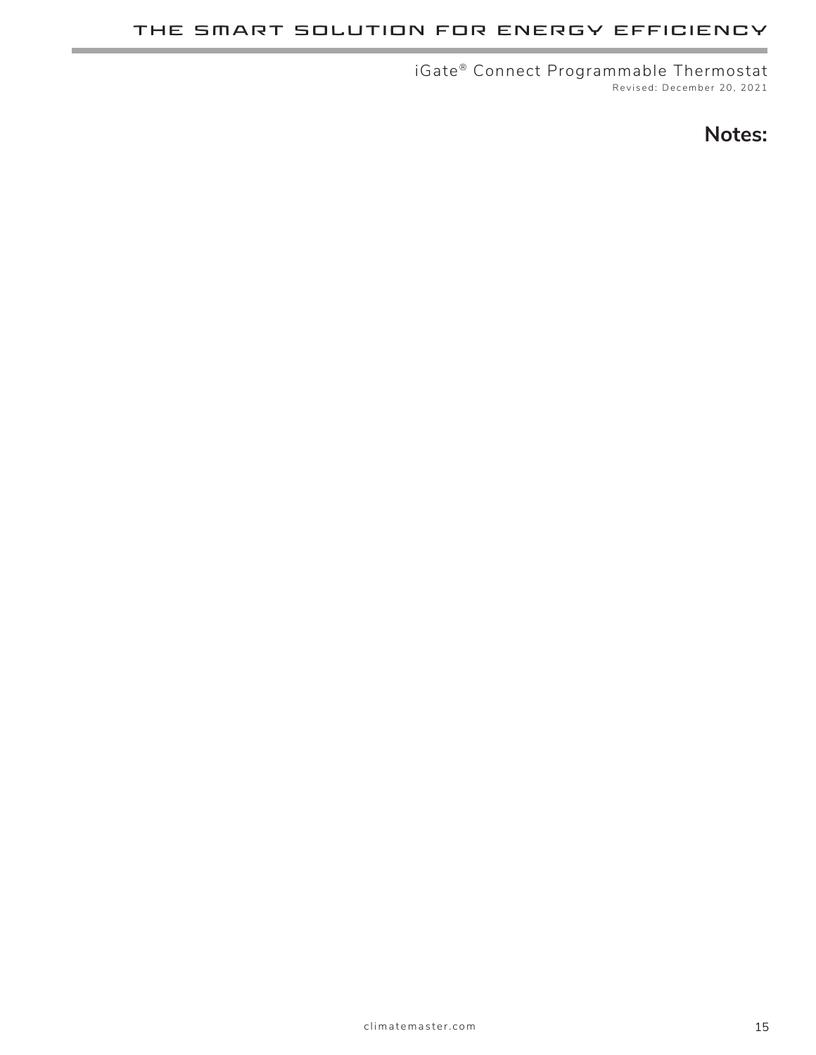### **THE SMART SOLUTION FOR ENERGY EFFICIENCY**

iGate® Connect Programmable Thermostat Revised: December 20, 2021

# **Notes:**